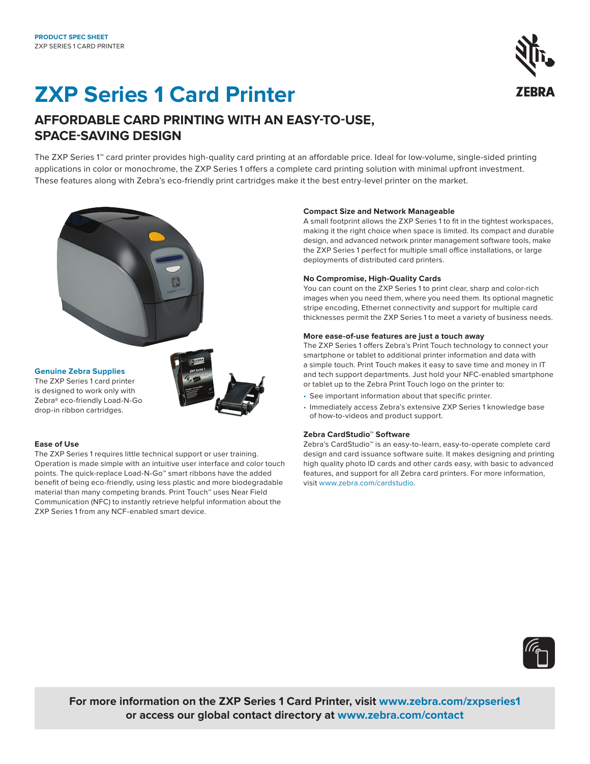# **ZXP Series 1 Card Printer**



### **AFFORDABLE CARD PRINTING WITH AN EASY-TO-USE, SPACE-SAVING DESIGN**

The ZXP Series 1™ card printer provides high-quality card printing at an affordable price. Ideal for low-volume, single-sided printing applications in color or monochrome, the ZXP Series 1 offers a complete card printing solution with minimal upfront investment. These features along with Zebra's eco-friendly print cartridges make it the best entry-level printer on the market.



#### **Genuine Zebra Supplies**

The ZXP Series 1 card printer is designed to work only with Zebra® eco-friendly Load-N-Go drop-in ribbon cartridges.



#### **Ease of Use**

The ZXP Series 1 requires little technical support or user training. Operation is made simple with an intuitive user interface and color touch points. The quick-replace Load-N-Go™ smart ribbons have the added benefit of being eco-friendly, using less plastic and more biodegradable material than many competing brands. Print Touch™ uses Near Field Communication (NFC) to instantly retrieve helpful information about the ZXP Series 1 from any NCF-enabled smart device.

#### **Compact Size and Network Manageable**

A small footprint allows the ZXP Series 1 to fit in the tightest workspaces, making it the right choice when space is limited. Its compact and durable design, and advanced network printer management software tools, make the ZXP Series 1 perfect for multiple small office installations, or large deployments of distributed card printers.

#### **No Compromise, High-Quality Cards**

You can count on the ZXP Series 1 to print clear, sharp and color-rich images when you need them, where you need them. Its optional magnetic stripe encoding, Ethernet connectivity and support for multiple card thicknesses permit the ZXP Series 1 to meet a variety of business needs.

#### **More ease-of-use features are just a touch away**

The ZXP Series 1 offers Zebra's Print Touch technology to connect your smartphone or tablet to additional printer information and data with a simple touch. Print Touch makes it easy to save time and money in IT and tech support departments. Just hold your NFC-enabled smartphone or tablet up to the Zebra Print Touch logo on the printer to:

- See important information about that specific printer.
- Immediately access Zebra's extensive ZXP Series 1 knowledge base of how-to-videos and product support.

#### **Zebra CardStudio™ Software**

Zebra's CardStudio™ is an easy-to-learn, easy-to-operate complete card design and card issuance software suite. It makes designing and printing high quality photo ID cards and other cards easy, with basic to advanced features, and support for all Zebra card printers. For more information, visit www.zebra.com/cardstudio.



**For more information on the ZXP Series 1 Card Printer, visit [www.zebra.com/zxpseries1](https://www.zebra.com/us/en/products/printers/card/zxp-series-1.html) or access our global contact directory at [www.zebra.com/contact](http://www.zebra.com/contact)**